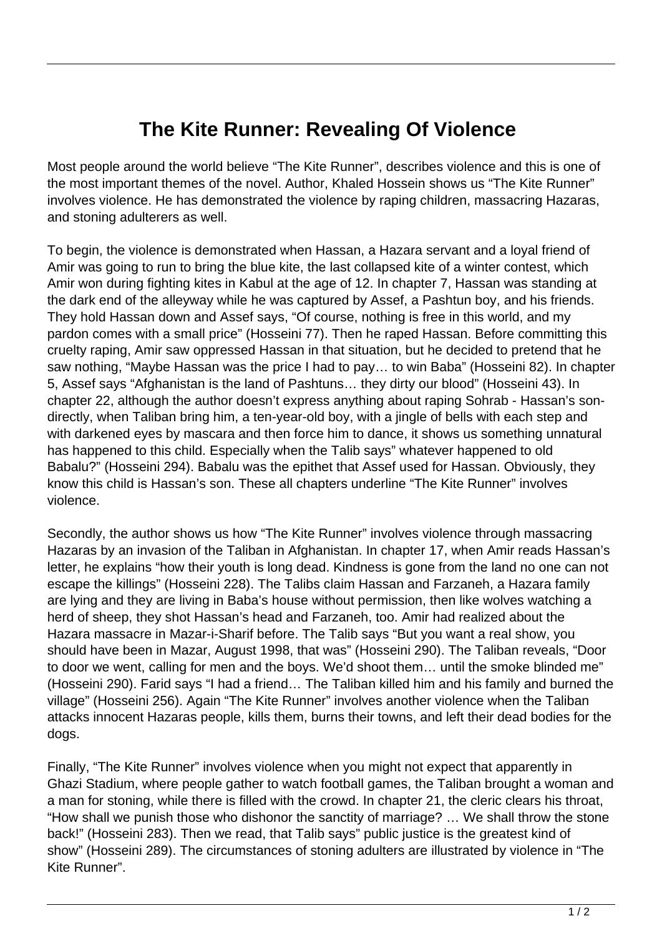## **The Kite Runner: Revealing Of Violence**

Most people around the world believe "The Kite Runner", describes violence and this is one of the most important themes of the novel. Author, Khaled Hossein shows us "The Kite Runner" involves violence. He has demonstrated the violence by raping children, massacring Hazaras, and stoning adulterers as well.

To begin, the violence is demonstrated when Hassan, a Hazara servant and a loyal friend of Amir was going to run to bring the blue kite, the last collapsed kite of a winter contest, which Amir won during fighting kites in Kabul at the age of 12. In chapter 7, Hassan was standing at the dark end of the alleyway while he was captured by Assef, a Pashtun boy, and his friends. They hold Hassan down and Assef says, "Of course, nothing is free in this world, and my pardon comes with a small price" (Hosseini 77). Then he raped Hassan. Before committing this cruelty raping, Amir saw oppressed Hassan in that situation, but he decided to pretend that he saw nothing, "Maybe Hassan was the price I had to pay… to win Baba" (Hosseini 82). In chapter 5, Assef says "Afghanistan is the land of Pashtuns… they dirty our blood" (Hosseini 43). In chapter 22, although the author doesn't express anything about raping Sohrab - Hassan's sondirectly, when Taliban bring him, a ten-year-old boy, with a jingle of bells with each step and with darkened eyes by mascara and then force him to dance, it shows us something unnatural has happened to this child. Especially when the Talib says" whatever happened to old Babalu?" (Hosseini 294). Babalu was the epithet that Assef used for Hassan. Obviously, they know this child is Hassan's son. These all chapters underline "The Kite Runner" involves violence.

Secondly, the author shows us how "The Kite Runner" involves violence through massacring Hazaras by an invasion of the Taliban in Afghanistan. In chapter 17, when Amir reads Hassan's letter, he explains "how their youth is long dead. Kindness is gone from the land no one can not escape the killings" (Hosseini 228). The Talibs claim Hassan and Farzaneh, a Hazara family are lying and they are living in Baba's house without permission, then like wolves watching a herd of sheep, they shot Hassan's head and Farzaneh, too. Amir had realized about the Hazara massacre in Mazar-i-Sharif before. The Talib says "But you want a real show, you should have been in Mazar, August 1998, that was" (Hosseini 290). The Taliban reveals, "Door to door we went, calling for men and the boys. We'd shoot them… until the smoke blinded me" (Hosseini 290). Farid says "I had a friend… The Taliban killed him and his family and burned the village" (Hosseini 256). Again "The Kite Runner" involves another violence when the Taliban attacks innocent Hazaras people, kills them, burns their towns, and left their dead bodies for the dogs.

Finally, "The Kite Runner" involves violence when you might not expect that apparently in Ghazi Stadium, where people gather to watch football games, the Taliban brought a woman and a man for stoning, while there is filled with the crowd. In chapter 21, the cleric clears his throat, "How shall we punish those who dishonor the sanctity of marriage? … We shall throw the stone back!" (Hosseini 283). Then we read, that Talib says" public justice is the greatest kind of show" (Hosseini 289). The circumstances of stoning adulters are illustrated by violence in "The Kite Runner".